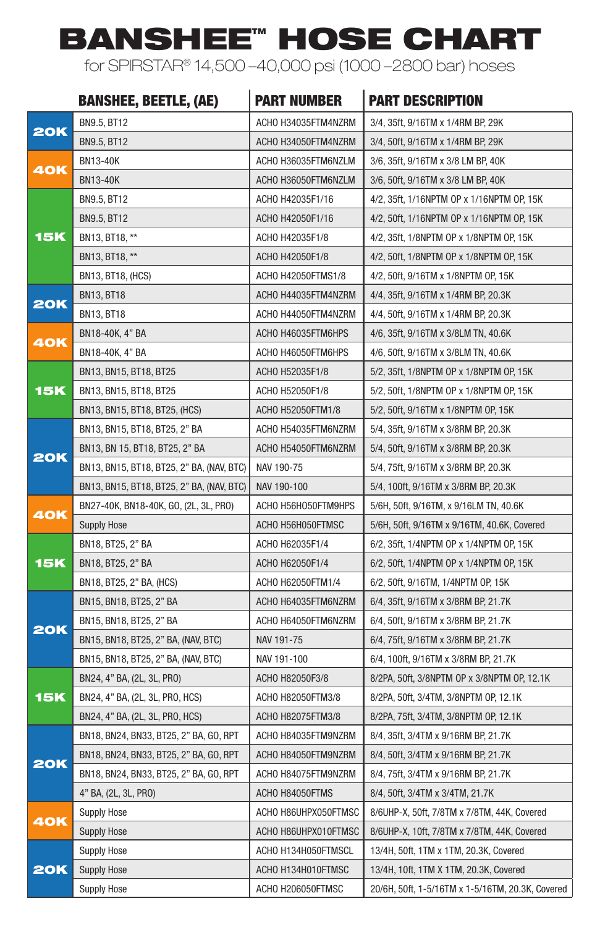## BANSHEE™ HOSE CHART

for SPIRSTAR® 14,500 –40,000 psi (1000 –2800 bar) hoses

|            | <b>BANSHEE, BEETLE, (AE)</b>              | <b>PART NUMBER</b>   | <b>PART DESCRIPTION</b>                          |  |  |  |
|------------|-------------------------------------------|----------------------|--------------------------------------------------|--|--|--|
|            | BN9.5, BT12                               | ACHO H34035FTM4NZRM  | 3/4, 35ft, 9/16TM x 1/4RM BP, 29K                |  |  |  |
| <b>20K</b> | BN9.5, BT12                               | ACHO H34050FTM4NZRM  | 3/4, 50ft, 9/16TM x 1/4RM BP, 29K                |  |  |  |
|            | <b>BN13-40K</b>                           | ACHO H36035FTM6NZLM  | 3/6, 35ft, 9/16TM x 3/8 LM BP, 40K               |  |  |  |
| 40K        | <b>BN13-40K</b>                           | ACHO H36050FTM6NZLM  | 3/6, 50ft, 9/16TM x 3/8 LM BP, 40K               |  |  |  |
|            | BN9.5, BT12                               | ACHO H42035F1/16     | 4/2, 35ft, 1/16NPTM OP x 1/16NPTM OP, 15K        |  |  |  |
|            | <b>BN9.5, BT12</b>                        | ACHO H42050F1/16     | 4/2, 50ft, 1/16NPTM OP x 1/16NPTM OP, 15K        |  |  |  |
| <b>15K</b> | BN13, BT18, **                            | ACHO H42035F1/8      | 4/2, 35ft, 1/8NPTM OP x 1/8NPTM OP, 15K          |  |  |  |
|            | BN13, BT18, **                            | ACHO H42050F1/8      | 4/2, 50ft, 1/8NPTM OP x 1/8NPTM OP, 15K          |  |  |  |
|            | BN13, BT18, (HCS)                         | ACHO H42050FTMS1/8   | 4/2, 50ft, 9/16TM x 1/8NPTM OP, 15K              |  |  |  |
|            | <b>BN13, BT18</b>                         | ACHO H44035FTM4NZRM  | 4/4, 35ft, 9/16TM x 1/4RM BP, 20.3K              |  |  |  |
| <b>20K</b> | <b>BN13, BT18</b>                         | ACHO H44050FTM4NZRM  | 4/4, 50ft, 9/16TM x 1/4RM BP, 20.3K              |  |  |  |
|            | BN18-40K, 4" BA                           | ACHO H46035FTM6HPS   | 4/6, 35ft, 9/16TM x 3/8LM TN, 40.6K              |  |  |  |
| 40K        | BN18-40K, 4" BA                           | ACHO H46050FTM6HPS   | 4/6, 50ft, 9/16TM x 3/8LM TN, 40.6K              |  |  |  |
|            | BN13, BN15, BT18, BT25                    | ACHO H52035F1/8      | 5/2, 35ft, 1/8NPTM OP x 1/8NPTM OP, 15K          |  |  |  |
| <b>15K</b> | BN13, BN15, BT18, BT25                    | ACHO H52050F1/8      | 5/2, 50ft, 1/8NPTM OP x 1/8NPTM OP, 15K          |  |  |  |
|            | BN13, BN15, BT18, BT25, (HCS)             | ACHO H52050FTM1/8    | 5/2, 50ft, 9/16TM x 1/8NPTM OP, 15K              |  |  |  |
|            | BN13, BN15, BT18, BT25, 2" BA             | ACHO H54035FTM6NZRM  | 5/4, 35ft, 9/16TM x 3/8RM BP, 20.3K              |  |  |  |
| <b>20K</b> | BN13, BN 15, BT18, BT25, 2" BA            | ACHO H54050FTM6NZRM  | 5/4, 50ft, 9/16TM x 3/8RM BP, 20.3K              |  |  |  |
|            | BN13, BN15, BT18, BT25, 2" BA, (NAV, BTC) | NAV 190-75           | 5/4, 75ft, 9/16TM x 3/8RM BP, 20.3K              |  |  |  |
|            | BN13, BN15, BT18, BT25, 2" BA, (NAV, BTC) | NAV 190-100          | 5/4, 100ft, 9/16TM x 3/8RM BP, 20.3K             |  |  |  |
| 40K        | BN27-40K, BN18-40K, GO, (2L, 3L, PRO)     | ACHO H56HO50FTM9HPS  | 5/6H, 50ft, 9/16TM, x 9/16LM TN, 40.6K           |  |  |  |
|            | <b>Supply Hose</b>                        | ACHO H56H050FTMSC    | 5/6H, 50ft, 9/16TM x 9/16TM, 40.6K, Covered      |  |  |  |
|            | BN18, BT25, 2" BA                         | ACHO H62035F1/4      | 6/2, 35ft, 1/4NPTM OP x 1/4NPTM OP, 15K          |  |  |  |
| <b>15K</b> | BN18, BT25, 2" BA                         | ACHO H62050F1/4      | 6/2, 50ft, 1/4NPTM OP x 1/4NPTM OP, 15K          |  |  |  |
|            | BN18, BT25, 2" BA, (HCS)                  | ACHO H62050FTM1/4    | 6/2, 50ft, 9/16TM, 1/4NPTM OP, 15K               |  |  |  |
|            | BN15, BN18, BT25, 2" BA                   | ACHO H64035FTM6NZRM  | 6/4, 35ft, 9/16TM x 3/8RM BP, 21.7K              |  |  |  |
| <b>20K</b> | BN15, BN18, BT25, 2" BA                   | ACHO H64050FTM6NZRM  | 6/4, 50ft, 9/16TM x 3/8RM BP, 21.7K              |  |  |  |
|            | BN15, BN18, BT25, 2" BA, (NAV, BTC)       | NAV 191-75           | 6/4, 75ft, 9/16TM x 3/8RM BP, 21.7K              |  |  |  |
|            | BN15, BN18, BT25, 2" BA, (NAV, BTC)       | NAV 191-100          | 6/4, 100ft, 9/16TM x 3/8RM BP, 21.7K             |  |  |  |
|            | BN24, 4" BA, (2L, 3L, PRO)                | ACHO H82050F3/8      | 8/2PA, 50ft, 3/8NPTM OP x 3/8NPTM OP, 12.1K      |  |  |  |
| <b>15K</b> | BN24, 4" BA, (2L, 3L, PRO, HCS)           | ACHO H82050FTM3/8    | 8/2PA, 50ft, 3/4TM, 3/8NPTM OP, 12.1K            |  |  |  |
|            | BN24, 4" BA, (2L, 3L, PRO, HCS)           | ACHO H82075FTM3/8    | 8/2PA, 75ft, 3/4TM, 3/8NPTM OP, 12.1K            |  |  |  |
|            | BN18, BN24, BN33, BT25, 2" BA, GO, RPT    | ACHO H84035FTM9NZRM  | 8/4, 35ft, 3/4TM x 9/16RM BP, 21.7K              |  |  |  |
| <b>20K</b> | BN18, BN24, BN33, BT25, 2" BA, GO, RPT    | ACHO H84050FTM9NZRM  | 8/4, 50ft, 3/4TM x 9/16RM BP, 21.7K              |  |  |  |
|            | BN18, BN24, BN33, BT25, 2" BA, GO, RPT    | ACHO H84075FTM9NZRM  | 8/4, 75ft, 3/4TM x 9/16RM BP, 21.7K              |  |  |  |
|            | 4" BA, (2L, 3L, PRO)                      | ACHO H84050FTMS      | 8/4, 50ft, 3/4TM x 3/4TM, 21.7K                  |  |  |  |
| <b>40K</b> | <b>Supply Hose</b>                        | ACHO H86UHPX050FTMSC | 8/6UHP-X, 50ft, 7/8TM x 7/8TM, 44K, Covered      |  |  |  |
|            | <b>Supply Hose</b>                        | ACHO H86UHPX010FTMSC | 8/6UHP-X, 10ft, 7/8TM x 7/8TM, 44K, Covered      |  |  |  |
| <b>20K</b> | <b>Supply Hose</b>                        | ACHO H134H050FTMSCL  | 13/4H, 50ft, 1TM x 1TM, 20.3K, Covered           |  |  |  |
|            | <b>Supply Hose</b>                        | ACHO H134H010FTMSC   | 13/4H, 10ft, 1TM X 1TM, 20.3K, Covered           |  |  |  |
|            | <b>Supply Hose</b>                        | ACHO H206050FTMSC    | 20/6H, 50ft, 1-5/16TM x 1-5/16TM, 20.3K, Covered |  |  |  |